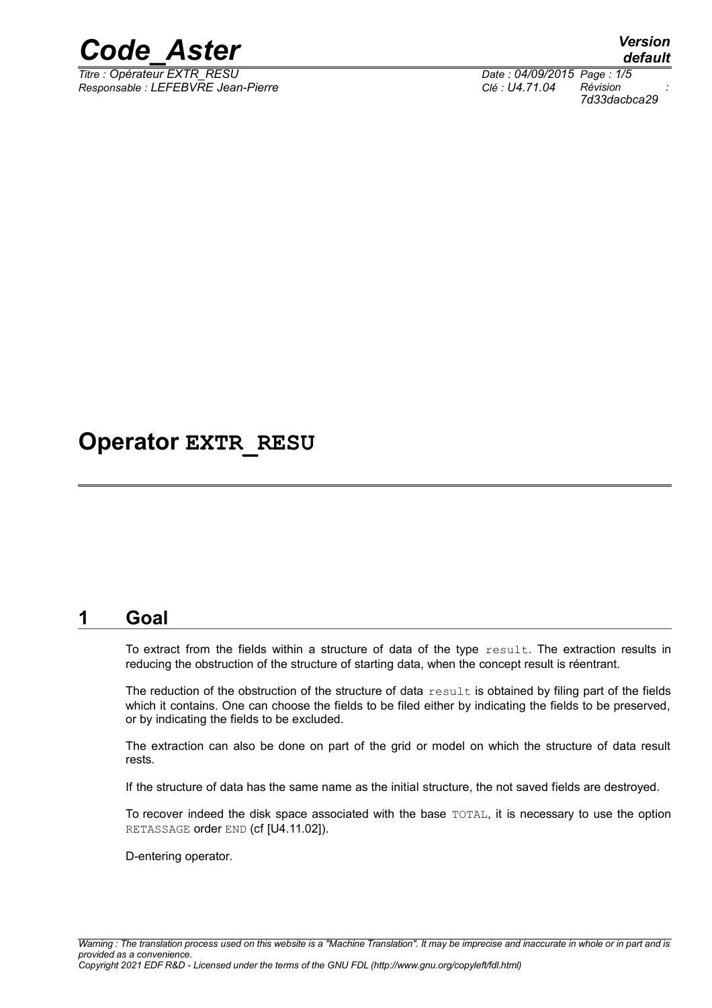

*Responsable : LEFEBVRE Jean-Pierre Clé : U4.71.04 Révision :*

*default Titre : Opérateur EXTR\_RESU Date : 04/09/2015 Page : 1/5 7d33dacbca29*

### **Operator EXTR\_RESU**

#### **1 Goal**

To extract from the fields within a structure of data of the type result. The extraction results in reducing the obstruction of the structure of starting data, when the concept result is réentrant.

The reduction of the obstruction of the structure of data result is obtained by filing part of the fields which it contains. One can choose the fields to be filed either by indicating the fields to be preserved, or by indicating the fields to be excluded.

The extraction can also be done on part of the grid or model on which the structure of data result rests.

If the structure of data has the same name as the initial structure, the not saved fields are destroyed.

To recover indeed the disk space associated with the base TOTAL, it is necessary to use the option RETASSAGE order END (cf [U4.11.02]).

D-entering operator.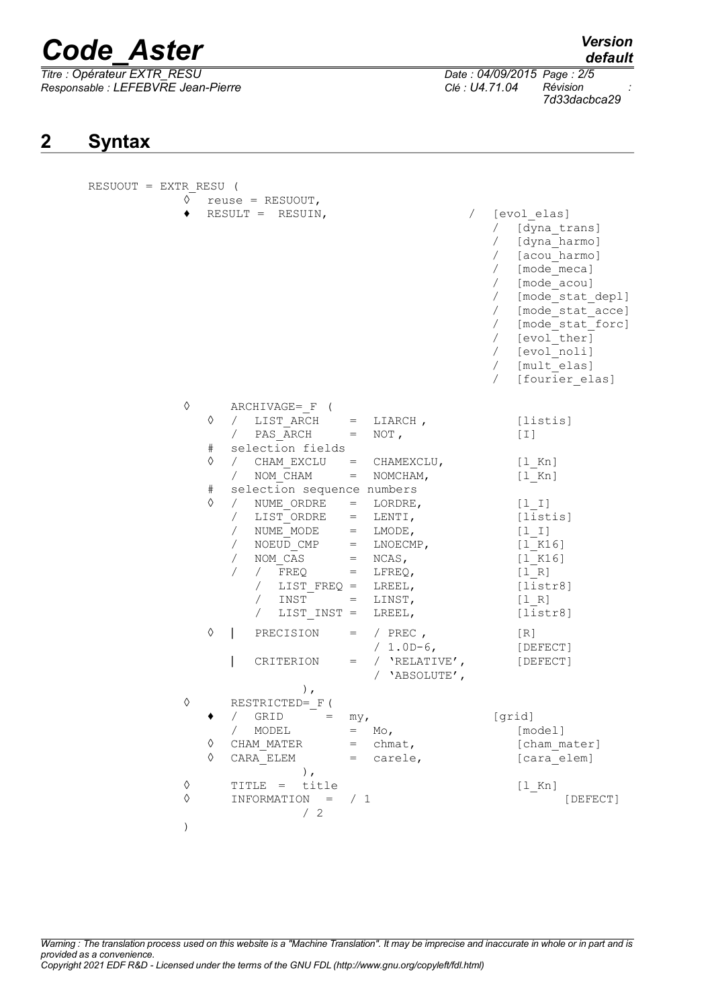*Titre : Opérateur EXTR\_RESU Date : 04/09/2015 Page : 2/5 Responsable : LEFEBVRE Jean-Pierre Clé : U4.71.04 Révision :*

*default*

*7d33dacbca29*

### **2 Syntax**

| RESUOUT = EXTR RESU ( |                                                                                                                                                                                                                                                                                                                                                                                                                                                                                      |                                                                              |                                                                                                                                                                                                                                                          |
|-----------------------|--------------------------------------------------------------------------------------------------------------------------------------------------------------------------------------------------------------------------------------------------------------------------------------------------------------------------------------------------------------------------------------------------------------------------------------------------------------------------------------|------------------------------------------------------------------------------|----------------------------------------------------------------------------------------------------------------------------------------------------------------------------------------------------------------------------------------------------------|
|                       | $\Diamond$ reuse = RESUOUT,<br>RESULT = RESUIN,                                                                                                                                                                                                                                                                                                                                                                                                                                      | $\sqrt{2}$                                                                   | [evol elas]<br>/ [dyna trans]<br>/ [dyna harmo]<br>/ [acou harmo]<br>/ [mode_meca]<br>/ [mode acou]<br>/ [mode stat depl]<br>/ [mode stat acce]<br>/ [mode stat forc]<br>/ [evol_ther]<br>/ [evol_noli]<br>/ [mult_elas]<br>$\sqrt{2}$<br>[fourier elas] |
| ♦                     | ARCHIVAGE= F (<br>♦<br>LIST ARCH $=$ LIARCH,<br>$\sqrt{2}$<br>/ PAS ARCH $= NOT$ ,<br>selection fields<br>#<br>♦<br>/ CHAM EXCLU = CHAMEXCLU,<br>/ NOM CHAM<br>selection sequence numbers<br>#<br>♦<br>/ NUME_ORDRE = LORDRE,<br>/ LIST_ORDRE = LENTI,<br>/ NUME_MODE = LMODE,<br>/ NOEUD_CMP = LNOECMP,<br>NOM $\overline{CAS}$ = NCAS,<br>$\sqrt{2}$<br>/ $FREQ = LFREQ,$<br>$\sqrt{2}$<br>/ $LIST FREQ = LREEL,$<br>$/$ INST = LINST,<br>/ $LIST INST = LREEL,$<br>♦<br>PRECISION | $=$ NOMCHAM,<br>$=$ / PREC,                                                  | [listis]<br>[1]<br>$[1$ Kn]<br>$[1$ Kn]<br>$[1 1]$<br>[listis]<br>$[1 1]$<br>[1 K16]<br>$[1 K16]$<br>[1 R]<br>[liststr8]<br>[1 R]<br>[liststr8]<br>[R]                                                                                                   |
| ♦                     | CRITERION<br>$)$ ,<br>RESTRICTED= F (                                                                                                                                                                                                                                                                                                                                                                                                                                                | $/ 1.0D-6$ ,<br>$=$ / $'RELATIVE'$ ,<br>/ 'ABSOLUTE',                        | [DEFECT]<br>[DEFECT]                                                                                                                                                                                                                                     |
|                       | GRID<br>MODEL<br>♦<br>CHAM MATER<br>♦<br>CARA ELEM<br>$)$ ,                                                                                                                                                                                                                                                                                                                                                                                                                          | my <sub>r</sub><br>Mo <sub>1</sub><br>$=$<br>chmat,<br>$=$<br>carele,<br>$=$ | [grid]<br>[model]<br>[cham mater]<br>[cara elem]                                                                                                                                                                                                         |
| ♦<br>$\Diamond$       | title<br>TITLE =<br>INFORMATION<br>$=$<br>$\begin{array}{cc} \begin{array}{cc} \end{array} & 2 \end{array}$                                                                                                                                                                                                                                                                                                                                                                          | /1                                                                           | $[1$ Kn]<br>[DEFECT]                                                                                                                                                                                                                                     |
|                       |                                                                                                                                                                                                                                                                                                                                                                                                                                                                                      |                                                                              |                                                                                                                                                                                                                                                          |

*Warning : The translation process used on this website is a "Machine Translation". It may be imprecise and inaccurate in whole or in part and is provided as a convenience. Copyright 2021 EDF R&D - Licensed under the terms of the GNU FDL (http://www.gnu.org/copyleft/fdl.html)*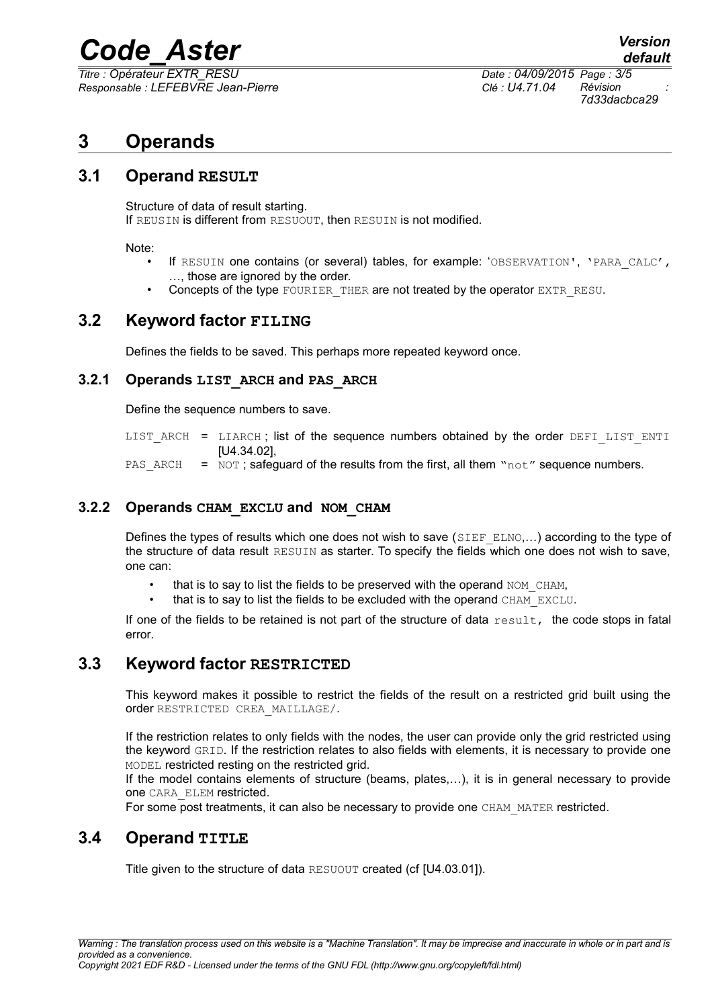*Titre : Opérateur EXTR\_RESU Date : 04/09/2015 Page : 3/5 Responsable : LEFEBVRE Jean-Pierre Clé : U4.71.04 Révision :*

*7d33dacbca29*

*default*

### **3 Operands**

#### **3.1 Operand RESULT**

Structure of data of result starting. If REUSIN is different from RESUOUT, then RESUIN is not modified.

Note:

- If RESUIN one contains (or several) tables, for example: 'OBSERVATION', 'PARA CALC', …, those are ignored by the order.
- Concepts of the type FOURIER THER are not treated by the operator EXTR RESU.

#### **3.2 Keyword factor FILING**

Defines the fields to be saved. This perhaps more repeated keyword once.

#### **3.2.1 Operands LIST\_ARCH and PAS\_ARCH**

Define the sequence numbers to save.

LIST ARCH = LIARCH; list of the sequence numbers obtained by the order DEFI\_LIST\_ENTI [U4.34.02],

PAS ARCH =  $NOT$ ; safeguard of the results from the first, all them "not" sequence numbers.

#### **3.2.2 Operands CHAM\_EXCLU and NOM\_CHAM**

Defines the types of results which one does not wish to save  $(SIEF_ELNO,...)$  according to the type of the structure of data result RESUIN as starter. To specify the fields which one does not wish to save, one can:

- that is to say to list the fields to be preserved with the operand NOM CHAM.
- that is to say to list the fields to be excluded with the operand CHAM\_EXCLU.

If one of the fields to be retained is not part of the structure of data  $result$ , the code stops in fatal error.

#### **3.3 Keyword factor RESTRICTED**

This keyword makes it possible to restrict the fields of the result on a restricted grid built using the order RESTRICTED CREA\_MAILLAGE/.

If the restriction relates to only fields with the nodes, the user can provide only the grid restricted using the keyword GRID. If the restriction relates to also fields with elements, it is necessary to provide one MODEL restricted resting on the restricted grid.

If the model contains elements of structure (beams, plates,…), it is in general necessary to provide one CARA\_ELEM restricted.

For some post treatments, it can also be necessary to provide one CHAM\_MATER restricted.

#### **3.4 Operand TITLE**

Title given to the structure of data RESUOUT created (cf [U4.03.01]).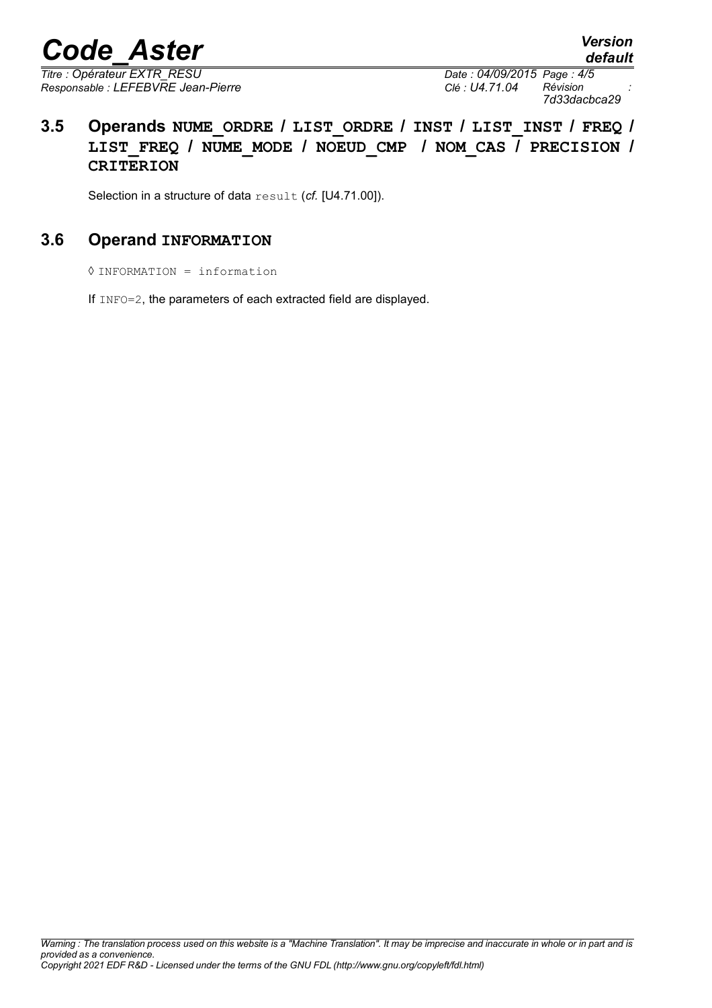*Titre : Opérateur EXTR\_RESU Date : 04/09/2015 Page : 4/5 Responsable : LEFEBVRE Jean-Pierre Clé : U4.71.04 Révision :*

*7d33dacbca29*

*default*

#### **3.5 Operands NUME\_ORDRE / LIST\_ORDRE / INST / LIST\_INST / FREQ / LIST\_FREQ / NUME\_MODE / NOEUD\_CMP / NOM\_CAS / PRECISION / CRITERION**

Selection in a structure of data result (*cf.* [U4.71.00]).

#### **3.6 Operand INFORMATION**

◊ INFORMATION = information

If INFO=2, the parameters of each extracted field are displayed.